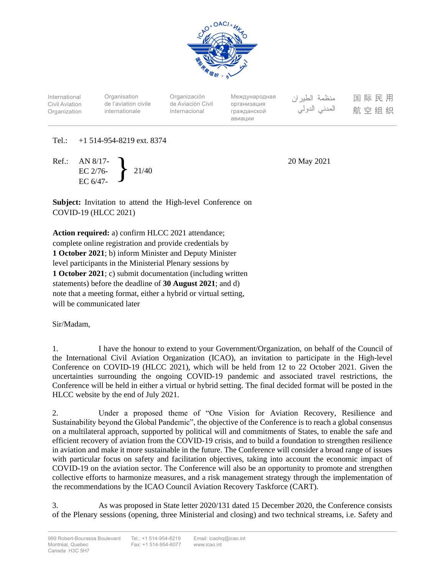

International Civil Aviation **Organization** 

**Organisation** de l'aviation civile internationale

Organización de Aviación Civil Internacional

Международная организация гражданской авиации

منظمة الطيران المدنى الدولى

国际民用 航空组织

# Tel.: +1 514-954-8219 ext. 8374

Ref.: AN 8/17- EC 2/76- EC 6/47- } 21/40

20 May 2021

**Subject:** Invitation to attend the High-level Conference on COVID-19 (HLCC 2021)

**Action required:** a) confirm HLCC 2021 attendance; complete online registration and provide credentials by **1 October 2021**; b) inform Minister and Deputy Minister level participants in the Ministerial Plenary sessions by **1 October 2021**; c) submit documentation (including written statements) before the deadline of **30 August 2021**; and d) note that a meeting format, either a hybrid or virtual setting, will be communicated later

Sir/Madam,

1. I have the honour to extend to your Government/Organization, on behalf of the Council of the International Civil Aviation Organization (ICAO), an invitation to participate in the High-level Conference on COVID-19 (HLCC 2021), which will be held from 12 to 22 October 2021. Given the uncertainties surrounding the ongoing COVID-19 pandemic and associated travel restrictions, the Conference will be held in either a virtual or hybrid setting. The final decided format will be posted in the HLCC website by the end of July 2021.

2. Under a proposed theme of "One Vision for Aviation Recovery, Resilience and Sustainability beyond the Global Pandemic", the objective of the Conference is to reach a global consensus on a multilateral approach, supported by political will and commitments of States, to enable the safe and efficient recovery of aviation from the COVID-19 crisis, and to build a foundation to strengthen resilience in aviation and make it more sustainable in the future. The Conference will consider a broad range of issues with particular focus on safety and facilitation objectives, taking into account the economic impact of COVID-19 on the aviation sector. The Conference will also be an opportunity to promote and strengthen collective efforts to harmonize measures, and a risk management strategy through the implementation of the recommendations by the ICAO Council Aviation Recovery Taskforce (CART).

3. As was proposed in State letter 2020/131 dated 15 December 2020, the Conference consists of the Plenary sessions (opening, three Ministerial and closing) and two technical streams, i.e. Safety and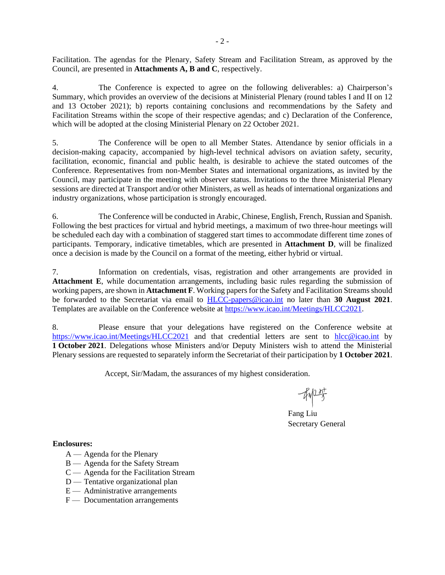Facilitation. The agendas for the Plenary, Safety Stream and Facilitation Stream, as approved by the Council, are presented in **Attachments A, B and C**, respectively.

4. The Conference is expected to agree on the following deliverables: a) Chairperson's Summary, which provides an overview of the decisions at Ministerial Plenary (round tables I and II on 12 and 13 October 2021); b) reports containing conclusions and recommendations by the Safety and Facilitation Streams within the scope of their respective agendas; and c) Declaration of the Conference, which will be adopted at the closing Ministerial Plenary on 22 October 2021.

5. The Conference will be open to all Member States. Attendance by senior officials in a decision-making capacity, accompanied by high-level technical advisors on aviation safety, security, facilitation, economic, financial and public health, is desirable to achieve the stated outcomes of the Conference. Representatives from non-Member States and international organizations, as invited by the Council, may participate in the meeting with observer status. Invitations to the three Ministerial Plenary sessions are directed at Transport and/or other Ministers, as well as heads of international organizations and industry organizations, whose participation is strongly encouraged.

6. The Conference will be conducted in Arabic, Chinese, English, French, Russian and Spanish. Following the best practices for virtual and hybrid meetings, a maximum of two three-hour meetings will be scheduled each day with a combination of staggered start times to accommodate different time zones of participants. Temporary, indicative timetables, which are presented in **Attachment D**, will be finalized once a decision is made by the Council on a format of the meeting, either hybrid or virtual.

7. Information on credentials, visas, registration and other arrangements are provided in **Attachment E**, while documentation arrangements, including basic rules regarding the submission of working papers, are shown in **Attachment F**. Working papers for the Safety and Facilitation Streams should be forwarded to the Secretariat via email to [HLCC-papers@icao.int](mailto:HLCC-papers@icao.int) no later than **30 August 2021**. Templates are available on the Conference website at [https://www.icao.int/Meetings/HLCC2021.](https://www.icao.int/Meetings/HLCC2021)

8. Please ensure that your delegations have registered on the Conference website at <https://www.icao.int/Meetings/HLCC2021> and that credential letters are sent to [hlcc@icao.int](mailto:hlcc@icao.int) by **1 October 2021**. Delegations whose Ministers and/or Deputy Ministers wish to attend the Ministerial Plenary sessions are requested to separately inform the Secretariat of their participation by **1 October 2021**.

Accept, Sir/Madam, the assurances of my highest consideration.

Fang Liu Secretary General

**Enclosures:**

- A Agenda for the Plenary
- B Agenda for the Safety Stream
- C Agenda for the Facilitation Stream
- D Tentative organizational plan
- $E$  Administrative arrangements
- F Documentation arrangements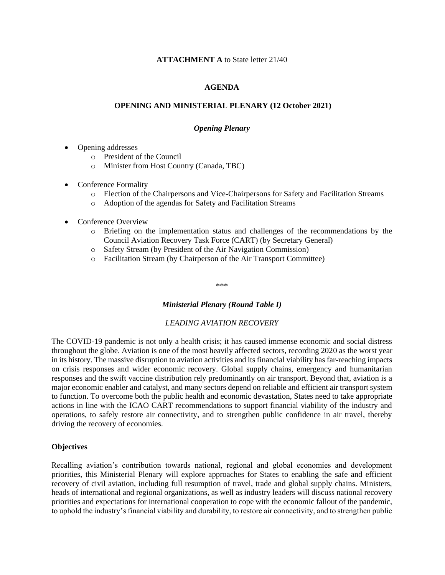## **ATTACHMENT A** to State letter 21/40

## **AGENDA**

## **OPENING AND MINISTERIAL PLENARY (12 October 2021)**

#### *Opening Plenary*

- Opening addresses
	- o President of the Council
	- o Minister from Host Country (Canada, TBC)
- Conference Formality
	- o Election of the Chairpersons and Vice-Chairpersons for Safety and Facilitation Streams
	- o Adoption of the agendas for Safety and Facilitation Streams
- Conference Overview
	- o Briefing on the implementation status and challenges of the recommendations by the Council Aviation Recovery Task Force (CART) (by Secretary General)
	- o Safety Stream (by President of the Air Navigation Commission)
	- o Facilitation Stream (by Chairperson of the Air Transport Committee)

\*\*\*

## *Ministerial Plenary (Round Table I)*

## *LEADING AVIATION RECOVERY*

The COVID-19 pandemic is not only a health crisis; it has caused immense economic and social distress throughout the globe. Aviation is one of the most heavily affected sectors, recording 2020 as the worst year in its history. The massive disruption to aviation activities and its financial viability has far-reaching impacts on crisis responses and wider economic recovery. Global supply chains, emergency and humanitarian responses and the swift vaccine distribution rely predominantly on air transport. Beyond that, aviation is a major economic enabler and catalyst, and many sectors depend on reliable and efficient air transport system to function. To overcome both the public health and economic devastation, States need to take appropriate actions in line with the ICAO CART recommendations to support financial viability of the industry and operations, to safely restore air connectivity, and to strengthen public confidence in air travel, thereby driving the recovery of economies.

## **Objectives**

Recalling aviation's contribution towards national, regional and global economies and development priorities, this Ministerial Plenary will explore approaches for States to enabling the safe and efficient recovery of civil aviation, including full resumption of travel, trade and global supply chains. Ministers, heads of international and regional organizations, as well as industry leaders will discuss national recovery priorities and expectations for international cooperation to cope with the economic fallout of the pandemic, to uphold the industry's financial viability and durability, to restore air connectivity, and to strengthen public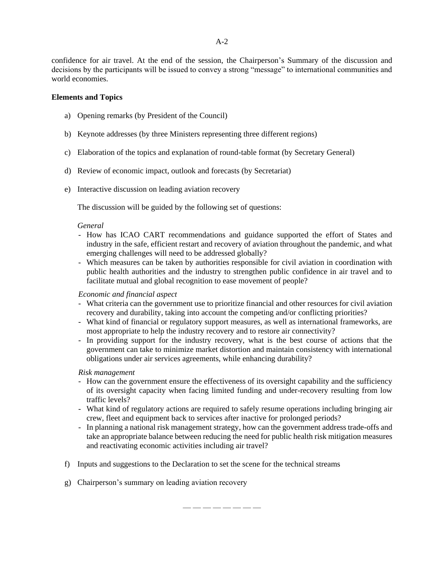confidence for air travel. At the end of the session, the Chairperson's Summary of the discussion and decisions by the participants will be issued to convey a strong "message" to international communities and world economies.

## **Elements and Topics**

- a) Opening remarks (by President of the Council)
- b) Keynote addresses (by three Ministers representing three different regions)
- c) Elaboration of the topics and explanation of round-table format (by Secretary General)
- d) Review of economic impact, outlook and forecasts (by Secretariat)
- e) Interactive discussion on leading aviation recovery

The discussion will be guided by the following set of questions:

## *General*

- How has ICAO CART recommendations and guidance supported the effort of States and industry in the safe, efficient restart and recovery of aviation throughout the pandemic, and what emerging challenges will need to be addressed globally?
- Which measures can be taken by authorities responsible for civil aviation in coordination with public health authorities and the industry to strengthen public confidence in air travel and to facilitate mutual and global recognition to ease movement of people?

## *Economic and financial aspect*

- What criteria can the government use to prioritize financial and other resources for civil aviation recovery and durability, taking into account the competing and/or conflicting priorities?
- What kind of financial or regulatory support measures, as well as international frameworks, are most appropriate to help the industry recovery and to restore air connectivity?
- In providing support for the industry recovery, what is the best course of actions that the government can take to minimize market distortion and maintain consistency with international obligations under air services agreements, while enhancing durability?

## *Risk management*

- How can the government ensure the effectiveness of its oversight capability and the sufficiency of its oversight capacity when facing limited funding and under-recovery resulting from low traffic levels?
- What kind of regulatory actions are required to safely resume operations including bringing air crew, fleet and equipment back to services after inactive for prolonged periods?
- In planning a national risk management strategy, how can the government address trade-offs and take an appropriate balance between reducing the need for public health risk mitigation measures and reactivating economic activities including air travel?
- f) Inputs and suggestions to the Declaration to set the scene for the technical streams
- g) Chairperson's summary on leading aviation recovery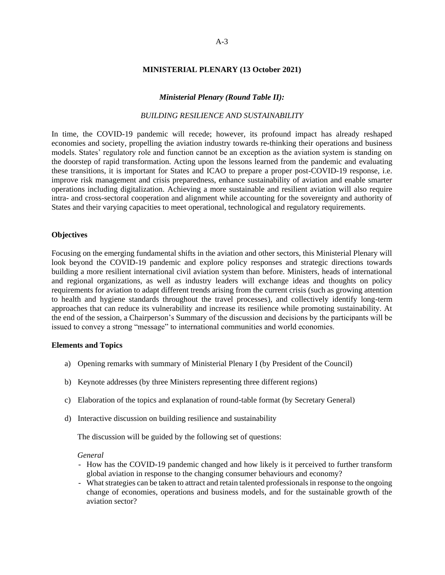#### **MINISTERIAL PLENARY (13 October 2021)**

## *Ministerial Plenary (Round Table II):*

## *BUILDING RESILIENCE AND SUSTAINABILITY*

In time, the COVID-19 pandemic will recede; however, its profound impact has already reshaped economies and society, propelling the aviation industry towards re-thinking their operations and business models. States' regulatory role and function cannot be an exception as the aviation system is standing on the doorstep of rapid transformation. Acting upon the lessons learned from the pandemic and evaluating these transitions, it is important for States and ICAO to prepare a proper post-COVID-19 response, i.e. improve risk management and crisis preparedness, enhance sustainability of aviation and enable smarter operations including digitalization. Achieving a more sustainable and resilient aviation will also require intra- and cross-sectoral cooperation and alignment while accounting for the sovereignty and authority of States and their varying capacities to meet operational, technological and regulatory requirements.

#### **Objectives**

Focusing on the emerging fundamental shifts in the aviation and other sectors, this Ministerial Plenary will look beyond the COVID-19 pandemic and explore policy responses and strategic directions towards building a more resilient international civil aviation system than before. Ministers, heads of international and regional organizations, as well as industry leaders will exchange ideas and thoughts on policy requirements for aviation to adapt different trends arising from the current crisis (such as growing attention to health and hygiene standards throughout the travel processes), and collectively identify long-term approaches that can reduce its vulnerability and increase its resilience while promoting sustainability. At the end of the session, a Chairperson's Summary of the discussion and decisions by the participants will be issued to convey a strong "message" to international communities and world economies.

#### **Elements and Topics**

- a) Opening remarks with summary of Ministerial Plenary I (by President of the Council)
- b) Keynote addresses (by three Ministers representing three different regions)
- c) Elaboration of the topics and explanation of round-table format (by Secretary General)
- d) Interactive discussion on building resilience and sustainability

The discussion will be guided by the following set of questions:

#### *General*

- How has the COVID-19 pandemic changed and how likely is it perceived to further transform global aviation in response to the changing consumer behaviours and economy?
- What strategies can be taken to attract and retain talented professionals in response to the ongoing change of economies, operations and business models, and for the sustainable growth of the aviation sector?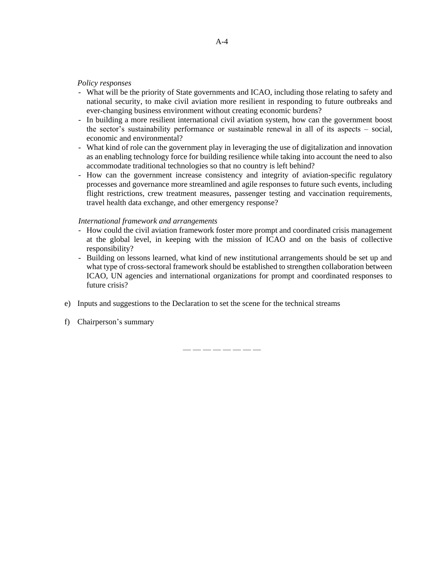### *Policy responses*

- What will be the priority of State governments and ICAO, including those relating to safety and national security, to make civil aviation more resilient in responding to future outbreaks and ever-changing business environment without creating economic burdens?
- In building a more resilient international civil aviation system, how can the government boost the sector's sustainability performance or sustainable renewal in all of its aspects – social, economic and environmental?
- What kind of role can the government play in leveraging the use of digitalization and innovation as an enabling technology force for building resilience while taking into account the need to also accommodate traditional technologies so that no country is left behind?
- How can the government increase consistency and integrity of aviation-specific regulatory processes and governance more streamlined and agile responses to future such events, including flight restrictions, crew treatment measures, passenger testing and vaccination requirements, travel health data exchange, and other emergency response?

#### *International framework and arrangements*

- How could the civil aviation framework foster more prompt and coordinated crisis management at the global level, in keeping with the mission of ICAO and on the basis of collective responsibility?
- Building on lessons learned, what kind of new institutional arrangements should be set up and what type of cross-sectoral framework should be established to strengthen collaboration between ICAO, UN agencies and international organizations for prompt and coordinated responses to future crisis?
- e) Inputs and suggestions to the Declaration to set the scene for the technical streams

— — — — — — — —

f) Chairperson's summary

A-4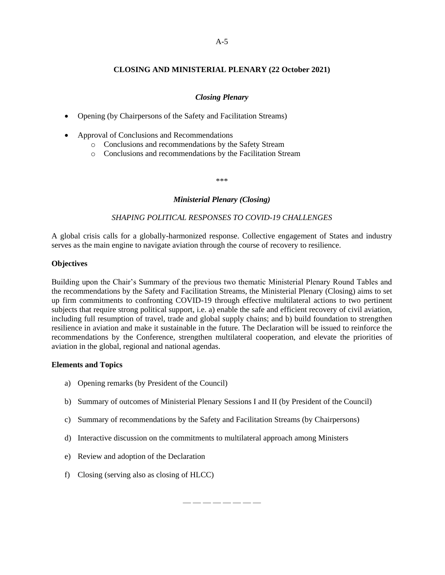# **CLOSING AND MINISTERIAL PLENARY (22 October 2021)**

## *Closing Plenary*

- Opening (by Chairpersons of the Safety and Facilitation Streams)
- Approval of Conclusions and Recommendations
	- o Conclusions and recommendations by the Safety Stream
	- o Conclusions and recommendations by the Facilitation Stream

\*\*\*

## *Ministerial Plenary (Closing)*

## *SHAPING POLITICAL RESPONSES TO COVID-19 CHALLENGES*

A global crisis calls for a globally-harmonized response. Collective engagement of States and industry serves as the main engine to navigate aviation through the course of recovery to resilience.

## **Objectives**

Building upon the Chair's Summary of the previous two thematic Ministerial Plenary Round Tables and the recommendations by the Safety and Facilitation Streams, the Ministerial Plenary (Closing) aims to set up firm commitments to confronting COVID-19 through effective multilateral actions to two pertinent subjects that require strong political support, i.e. a) enable the safe and efficient recovery of civil aviation, including full resumption of travel, trade and global supply chains; and b) build foundation to strengthen resilience in aviation and make it sustainable in the future. The Declaration will be issued to reinforce the recommendations by the Conference, strengthen multilateral cooperation, and elevate the priorities of aviation in the global, regional and national agendas.

## **Elements and Topics**

- a) Opening remarks (by President of the Council)
- b) Summary of outcomes of Ministerial Plenary Sessions I and II (by President of the Council)
- c) Summary of recommendations by the Safety and Facilitation Streams (by Chairpersons)
- d) Interactive discussion on the commitments to multilateral approach among Ministers
- e) Review and adoption of the Declaration
- f) Closing (serving also as closing of HLCC)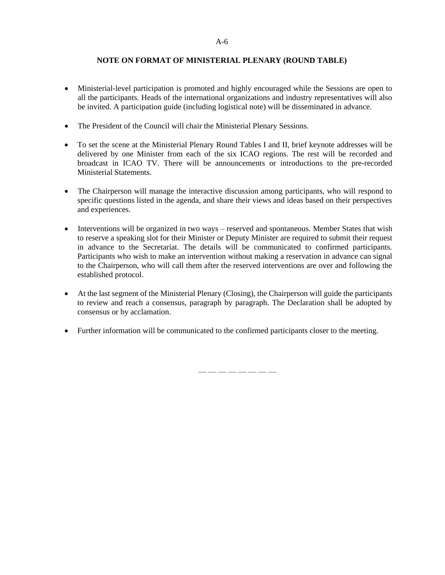## **NOTE ON FORMAT OF MINISTERIAL PLENARY (ROUND TABLE)**

- Ministerial-level participation is promoted and highly encouraged while the Sessions are open to all the participants. Heads of the international organizations and industry representatives will also be invited. A participation guide (including logistical note) will be disseminated in advance.
- The President of the Council will chair the Ministerial Plenary Sessions.
- To set the scene at the Ministerial Plenary Round Tables I and II, brief keynote addresses will be delivered by one Minister from each of the six ICAO regions. The rest will be recorded and broadcast in ICAO TV. There will be announcements or introductions to the pre-recorded Ministerial Statements.
- The Chairperson will manage the interactive discussion among participants, who will respond to specific questions listed in the agenda, and share their views and ideas based on their perspectives and experiences.
- Interventions will be organized in two ways reserved and spontaneous. Member States that wish to reserve a speaking slot for their Minister or Deputy Minister are required to submit their request in advance to the Secretariat. The details will be communicated to confirmed participants. Participants who wish to make an intervention without making a reservation in advance can signal to the Chairperson, who will call them after the reserved interventions are over and following the established protocol.
- At the last segment of the Ministerial Plenary (Closing), the Chairperson will guide the participants to review and reach a consensus, paragraph by paragraph. The Declaration shall be adopted by consensus or by acclamation.
- Further information will be communicated to the confirmed participants closer to the meeting.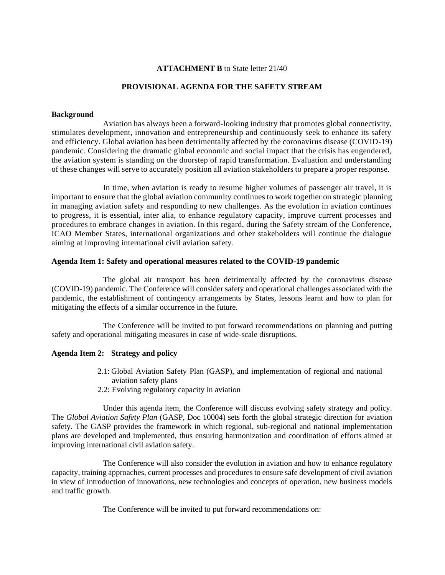## **ATTACHMENT B** to State letter 21/40

## **PROVISIONAL AGENDA FOR THE SAFETY STREAM**

#### **Background**

Aviation has always been a forward-looking industry that promotes global connectivity, stimulates development, innovation and entrepreneurship and continuously seek to enhance its safety and efficiency. Global aviation has been detrimentally affected by the coronavirus disease (COVID-19) pandemic. Considering the dramatic global economic and social impact that the crisis has engendered, the aviation system is standing on the doorstep of rapid transformation. Evaluation and understanding of these changes will serve to accurately position all aviation stakeholders to prepare a proper response.

In time, when aviation is ready to resume higher volumes of passenger air travel, it is important to ensure that the global aviation community continues to work together on strategic planning in managing aviation safety and responding to new challenges. As the evolution in aviation continues to progress, it is essential, inter alia, to enhance regulatory capacity, improve current processes and procedures to embrace changes in aviation. In this regard, during the Safety stream of the Conference, ICAO Member States, international organizations and other stakeholders will continue the dialogue aiming at improving international civil aviation safety.

#### **Agenda Item 1: Safety and operational measures related to the COVID-19 pandemic**

The global air transport has been detrimentally affected by the coronavirus disease (COVID-19) pandemic. The Conference will consider safety and operational challenges associated with the pandemic, the establishment of contingency arrangements by States, lessons learnt and how to plan for mitigating the effects of a similar occurrence in the future.

The Conference will be invited to put forward recommendations on planning and putting safety and operational mitigating measures in case of wide-scale disruptions.

## **Agenda Item 2: Strategy and policy**

- 2.1: Global Aviation Safety Plan (GASP), and implementation of regional and national aviation safety plans
- 2.2: Evolving regulatory capacity in aviation

Under this agenda item, the Conference will discuss evolving safety strategy and policy. The *Global Aviation Safety Plan* (GASP, Doc 10004) sets forth the global strategic direction for aviation safety. The GASP provides the framework in which regional, sub-regional and national implementation plans are developed and implemented, thus ensuring harmonization and coordination of efforts aimed at improving international civil aviation safety.

The Conference will also consider the evolution in aviation and how to enhance regulatory capacity, training approaches, current processes and procedures to ensure safe development of civil aviation in view of introduction of innovations, new technologies and concepts of operation, new business models and traffic growth.

The Conference will be invited to put forward recommendations on: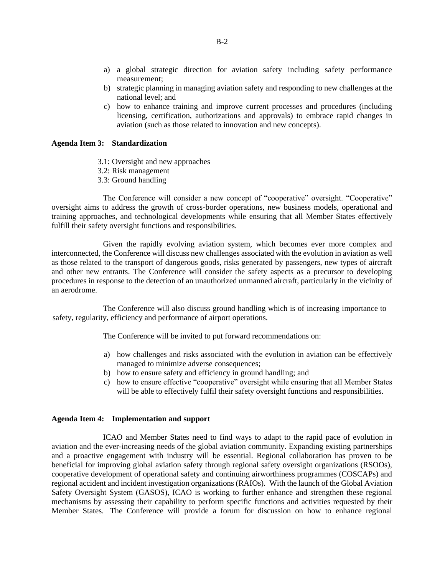- a) a global strategic direction for aviation safety including safety performance measurement;
- b) strategic planning in managing aviation safety and responding to new challenges at the national level; and
- c) how to enhance training and improve current processes and procedures (including licensing, certification, authorizations and approvals) to embrace rapid changes in aviation (such as those related to innovation and new concepts).

## **Agenda Item 3: Standardization**

- 3.1: Oversight and new approaches
- 3.2: Risk management
- 3.3: Ground handling

The Conference will consider a new concept of "cooperative" oversight. "Cooperative" oversight aims to address the growth of cross-border operations, new business models, operational and training approaches, and technological developments while ensuring that all Member States effectively fulfill their safety oversight functions and responsibilities.

Given the rapidly evolving aviation system, which becomes ever more complex and interconnected, the Conference will discuss new challenges associated with the evolution in aviation as well as those related to the transport of dangerous goods, risks generated by passengers, new types of aircraft and other new entrants. The Conference will consider the safety aspects as a precursor to developing procedures in response to the detection of an unauthorized unmanned aircraft, particularly in the vicinity of an aerodrome.

The Conference will also discuss ground handling which is of increasing importance to safety, regularity, efficiency and performance of airport operations.

The Conference will be invited to put forward recommendations on:

- a) how challenges and risks associated with the evolution in aviation can be effectively managed to minimize adverse consequences;
- b) how to ensure safety and efficiency in ground handling; and
- c) how to ensure effective "cooperative" oversight while ensuring that all Member States will be able to effectively fulfil their safety oversight functions and responsibilities.

## **Agenda Item 4: Implementation and support**

ICAO and Member States need to find ways to adapt to the rapid pace of evolution in aviation and the ever-increasing needs of the global aviation community. Expanding existing partnerships and a proactive engagement with industry will be essential. Regional collaboration has proven to be beneficial for improving global aviation safety through regional safety oversight organizations (RSOOs), cooperative development of operational safety and continuing airworthiness programmes (COSCAPs) and regional accident and incident investigation organizations (RAIOs). With the launch of the Global Aviation Safety Oversight System (GASOS), ICAO is working to further enhance and strengthen these regional mechanisms by assessing their capability to perform specific functions and activities requested by their Member States. The Conference will provide a forum for discussion on how to enhance regional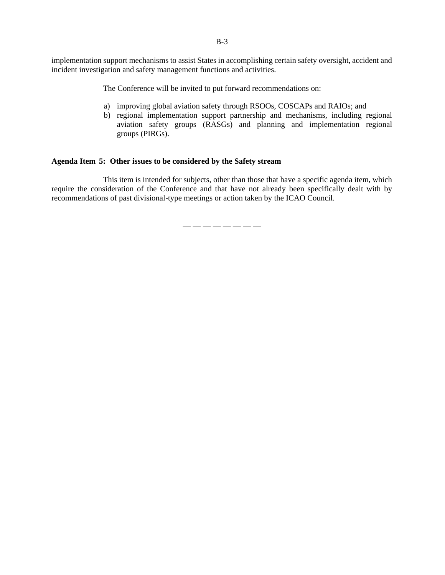B-3

implementation support mechanisms to assist States in accomplishing certain safety oversight, accident and incident investigation and safety management functions and activities.

The Conference will be invited to put forward recommendations on:

- a) improving global aviation safety through RSOOs, COSCAPs and RAIOs; and
- b) regional implementation support partnership and mechanisms, including regional aviation safety groups (RASGs) and planning and implementation regional groups (PIRGs).

## **Agenda Item 5: Other issues to be considered by the Safety stream**

This item is intended for subjects, other than those that have a specific agenda item, which require the consideration of the Conference and that have not already been specifically dealt with by recommendations of past divisional-type meetings or action taken by the ICAO Council.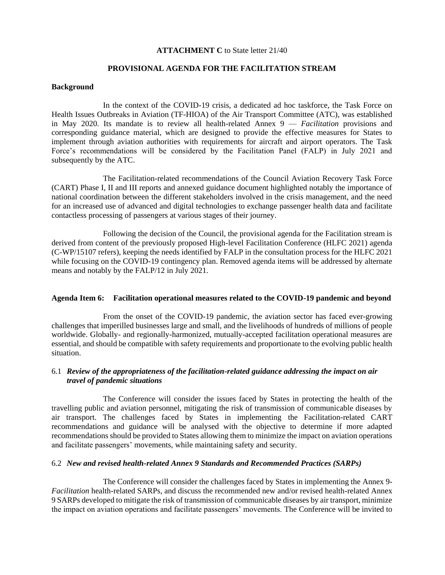### **ATTACHMENT C** to State letter 21/40

## **PROVISIONAL AGENDA FOR THE FACILITATION STREAM**

#### **Background**

In the context of the COVID-19 crisis, a dedicated ad hoc taskforce, the Task Force on Health Issues Outbreaks in Aviation (TF-HIOA) of the Air Transport Committee (ATC), was established in May 2020. Its mandate is to review all health-related Annex 9 — *Facilitation* provisions and corresponding guidance material, which are designed to provide the effective measures for States to implement through aviation authorities with requirements for aircraft and airport operators. The Task Force's recommendations will be considered by the Facilitation Panel (FALP) in July 2021 and subsequently by the ATC.

The Facilitation-related recommendations of the Council Aviation Recovery Task Force (CART) Phase I, II and III reports and annexed guidance document highlighted notably the importance of national coordination between the different stakeholders involved in the crisis management, and the need for an increased use of advanced and digital technologies to exchange passenger health data and facilitate contactless processing of passengers at various stages of their journey.

Following the decision of the Council, the provisional agenda for the Facilitation stream is derived from content of the previously proposed High-level Facilitation Conference (HLFC 2021) agenda (C-WP/15107 refers), keeping the needs identified by FALP in the consultation process for the HLFC 2021 while focusing on the COVID-19 contingency plan. Removed agenda items will be addressed by alternate means and notably by the FALP/12 in July 2021.

## **Agenda Item 6: Facilitation operational measures related to the COVID-19 pandemic and beyond**

From the onset of the COVID-19 pandemic, the aviation sector has faced ever-growing challenges that imperilled businesses large and small, and the livelihoods of hundreds of millions of people worldwide. Globally- and regionally-harmonized, mutually-accepted facilitation operational measures are essential, and should be compatible with safety requirements and proportionate to the evolving public health situation.

## 6.1 *Review of the appropriateness of the facilitation-related guidance addressing the impact on air travel of pandemic situations*

The Conference will consider the issues faced by States in protecting the health of the travelling public and aviation personnel, mitigating the risk of transmission of communicable diseases by air transport. The challenges faced by States in implementing the Facilitation-related CART recommendations and guidance will be analysed with the objective to determine if more adapted recommendations should be provided to States allowing them to minimize the impact on aviation operations and facilitate passengers' movements, while maintaining safety and security.

## 6.2 *New and revised health-related Annex 9 Standards and Recommended Practices (SARPs)*

The Conference will consider the challenges faced by States in implementing the Annex 9- *Facilitation* health-related SARPs, and discuss the recommended new and/or revised health-related Annex 9 SARPs developed to mitigate the risk of transmission of communicable diseases by air transport, minimize the impact on aviation operations and facilitate passengers' movements. The Conference will be invited to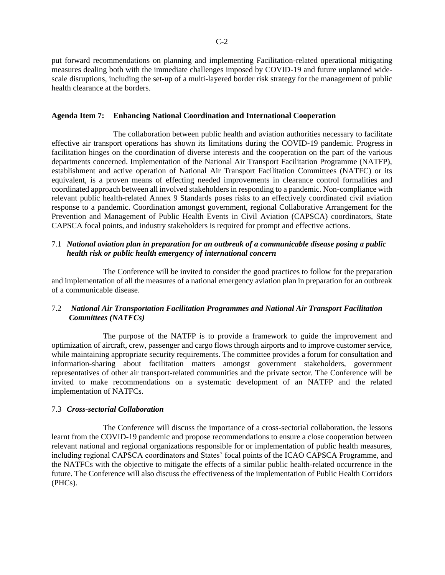put forward recommendations on planning and implementing Facilitation-related operational mitigating measures dealing both with the immediate challenges imposed by COVID-19 and future unplanned widescale disruptions, including the set-up of a multi-layered border risk strategy for the management of public health clearance at the borders.

## **Agenda Item 7: Enhancing National Coordination and International Cooperation**

The collaboration between public health and aviation authorities necessary to facilitate effective air transport operations has shown its limitations during the COVID-19 pandemic. Progress in facilitation hinges on the coordination of diverse interests and the cooperation on the part of the various departments concerned. Implementation of the National Air Transport Facilitation Programme (NATFP), establishment and active operation of National Air Transport Facilitation Committees (NATFC) or its equivalent, is a proven means of effecting needed improvements in clearance control formalities and coordinated approach between all involved stakeholders in responding to a pandemic. Non-compliance with relevant public health-related Annex 9 Standards poses risks to an effectively coordinated civil aviation response to a pandemic. Coordination amongst government, regional Collaborative Arrangement for the Prevention and Management of Public Health Events in Civil Aviation (CAPSCA) coordinators, State CAPSCA focal points, and industry stakeholders is required for prompt and effective actions.

# 7.1 *National aviation plan in preparation for an outbreak of a communicable disease posing a public health risk or public health emergency of international concern*

The Conference will be invited to consider the good practices to follow for the preparation and implementation of all the measures of a national emergency aviation plan in preparation for an outbreak of a communicable disease.

# 7.2 *National Air Transportation Facilitation Programmes and National Air Transport Facilitation Committees (NATFCs)*

The purpose of the NATFP is to provide a framework to guide the improvement and optimization of aircraft, crew, passenger and cargo flows through airports and to improve customer service, while maintaining appropriate security requirements. The committee provides a forum for consultation and information-sharing about facilitation matters amongst government stakeholders, government representatives of other air transport-related communities and the private sector. The Conference will be invited to make recommendations on a systematic development of an NATFP and the related implementation of NATFCs.

## 7.3 *Cross-sectorial Collaboration*

The Conference will discuss the importance of a cross-sectorial collaboration, the lessons learnt from the COVID-19 pandemic and propose recommendations to ensure a close cooperation between relevant national and regional organizations responsible for or implementation of public health measures, including regional CAPSCA coordinators and States' focal points of the ICAO CAPSCA Programme, and the NATFCs with the objective to mitigate the effects of a similar public health-related occurrence in the future. The Conference will also discuss the effectiveness of the implementation of Public Health Corridors (PHCs).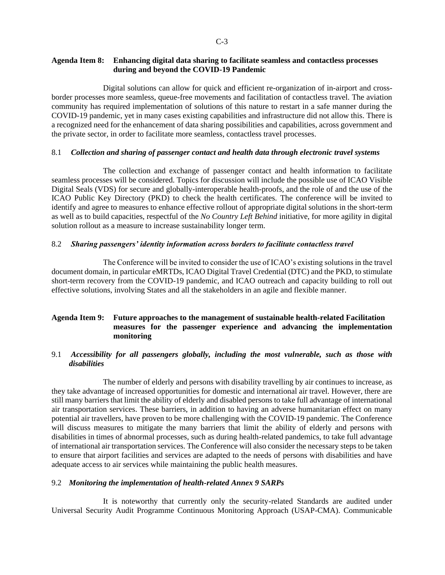## **Agenda Item 8: Enhancing digital data sharing to facilitate seamless and contactless processes during and beyond the COVID-19 Pandemic**

Digital solutions can allow for quick and efficient re-organization of in-airport and crossborder processes more seamless, queue-free movements and facilitation of contactless travel. The aviation community has required implementation of solutions of this nature to restart in a safe manner during the COVID-19 pandemic, yet in many cases existing capabilities and infrastructure did not allow this. There is a recognized need for the enhancement of data sharing possibilities and capabilities, across government and the private sector, in order to facilitate more seamless, contactless travel processes.

## 8.1 *Collection and sharing of passenger contact and health data through electronic travel systems*

The collection and exchange of passenger contact and health information to facilitate seamless processes will be considered. Topics for discussion will include the possible use of ICAO Visible Digital Seals (VDS) for secure and globally-interoperable health-proofs, and the role of and the use of the ICAO Public Key Directory (PKD) to check the health certificates. The conference will be invited to identify and agree to measures to enhance effective rollout of appropriate digital solutions in the short-term as well as to build capacities, respectful of the *No Country Left Behind* initiative, for more agility in digital solution rollout as a measure to increase sustainability longer term.

## 8.2 *Sharing passengers' identity information across borders to facilitate contactless travel*

The Conference will be invited to consider the use of ICAO's existing solutions in the travel document domain, in particular eMRTDs, ICAO Digital Travel Credential (DTC) and the PKD, to stimulate short-term recovery from the COVID-19 pandemic, and ICAO outreach and capacity building to roll out effective solutions, involving States and all the stakeholders in an agile and flexible manner.

# **Agenda Item 9: Future approaches to the management of sustainable health-related Facilitation measures for the passenger experience and advancing the implementation monitoring**

## 9.1 *Accessibility for all passengers globally, including the most vulnerable, such as those with disabilities*

The number of elderly and persons with disability travelling by air continues to increase, as they take advantage of increased opportunities for domestic and international air travel. However, there are still many barriers that limit the ability of elderly and disabled persons to take full advantage of international air transportation services. These barriers, in addition to having an adverse humanitarian effect on many potential air travellers, have proven to be more challenging with the COVID-19 pandemic. The Conference will discuss measures to mitigate the many barriers that limit the ability of elderly and persons with disabilities in times of abnormal processes, such as during health-related pandemics, to take full advantage of international air transportation services. The Conference will also consider the necessary steps to be taken to ensure that airport facilities and services are adapted to the needs of persons with disabilities and have adequate access to air services while maintaining the public health measures.

## 9.2 *Monitoring the implementation of health-related Annex 9 SARPs*

It is noteworthy that currently only the security-related Standards are audited under Universal Security Audit Programme Continuous Monitoring Approach (USAP-CMA). Communicable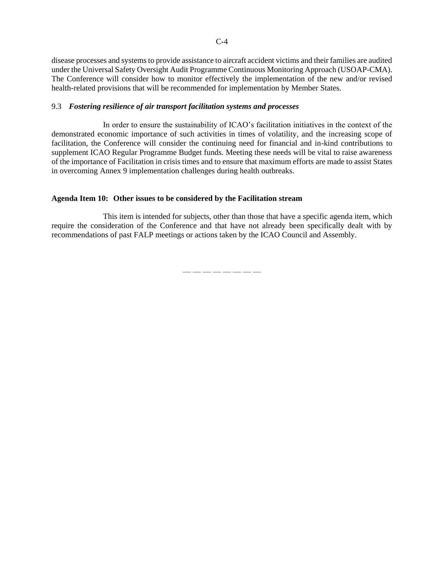disease processes and systems to provide assistance to aircraft accident victims and their families are audited under the Universal Safety Oversight Audit Programme Continuous Monitoring Approach (USOAP-CMA). The Conference will consider how to monitor effectively the implementation of the new and/or revised health-related provisions that will be recommended for implementation by Member States.

## 9.3 *Fostering resilience of air transport facilitation systems and processes*

In order to ensure the sustainability of ICAO's facilitation initiatives in the context of the demonstrated economic importance of such activities in times of volatility, and the increasing scope of facilitation, the Conference will consider the continuing need for financial and in-kind contributions to supplement ICAO Regular Programme Budget funds. Meeting these needs will be vital to raise awareness of the importance of Facilitation in crisis times and to ensure that maximum efforts are made to assist States in overcoming Annex 9 implementation challenges during health outbreaks.

## **Agenda Item 10: Other issues to be considered by the Facilitation stream**

This item is intended for subjects, other than those that have a specific agenda item, which require the consideration of the Conference and that have not already been specifically dealt with by recommendations of past FALP meetings or actions taken by the ICAO Council and Assembly.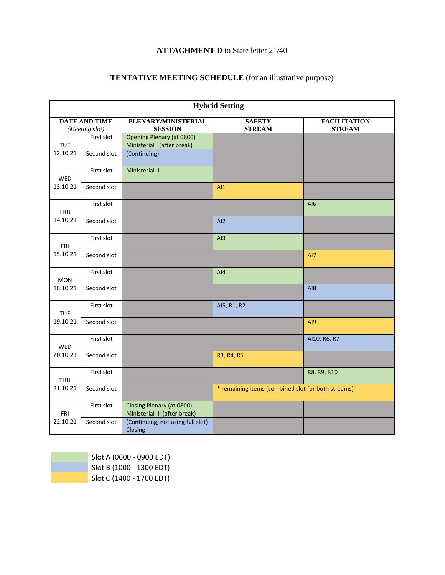# **ATTACHMENT D** to State letter 21/40

# **TENTATIVE MEETING SCHEDULE** (for an illustrative purpose)

| <b>Hybrid Setting</b>                  |             |                                                                 |                                                    |                                      |  |  |  |
|----------------------------------------|-------------|-----------------------------------------------------------------|----------------------------------------------------|--------------------------------------|--|--|--|
| <b>DATE AND TIME</b><br>(Meeting slot) |             | PLENARY/MINISTERIAL<br><b>SESSION</b>                           | <b>SAFETY</b><br><b>STREAM</b>                     | <b>FACILITATION</b><br><b>STREAM</b> |  |  |  |
| <b>TUE</b><br>12.10.21                 | First slot  | <b>Opening Plenary (at 0800)</b><br>Ministerial I (after break) |                                                    |                                      |  |  |  |
|                                        | Second slot | (Continuing)                                                    |                                                    |                                      |  |  |  |
| <b>WED</b><br>13.10.21                 | First slot  | Ministerial II                                                  |                                                    |                                      |  |  |  |
|                                        | Second slot |                                                                 | AI1                                                |                                      |  |  |  |
| <b>THU</b><br>14.10.21                 | First slot  |                                                                 |                                                    | AI6                                  |  |  |  |
|                                        | Second slot |                                                                 | AI2                                                |                                      |  |  |  |
| FRI<br>15.10.21                        | First slot  |                                                                 | AI3                                                |                                      |  |  |  |
|                                        | Second slot |                                                                 |                                                    | AI7                                  |  |  |  |
| <b>MON</b><br>18.10.21                 | First slot  |                                                                 | AI4                                                |                                      |  |  |  |
|                                        | Second slot |                                                                 |                                                    | A18                                  |  |  |  |
| <b>TUE</b><br>19.10.21                 | First slot  |                                                                 | AI5, R1, R2                                        |                                      |  |  |  |
|                                        | Second slot |                                                                 |                                                    | AI9                                  |  |  |  |
| WED<br>20.10.21                        | First slot  |                                                                 |                                                    | AI10, R6, R7                         |  |  |  |
|                                        | Second slot |                                                                 | R3, R4, R5                                         |                                      |  |  |  |
| THU<br>21.10.21                        | First slot  |                                                                 |                                                    | R8, R9, R10                          |  |  |  |
|                                        | Second slot |                                                                 | * remaining items (combined slot for both streams) |                                      |  |  |  |
| <b>FRI</b><br>22.10.21                 | First slot  | Closing Plenary (at 0800)<br>Ministerial III (after break)      |                                                    |                                      |  |  |  |
|                                        | Second slot | (Continuing, not using full slot)<br>Closing                    |                                                    |                                      |  |  |  |

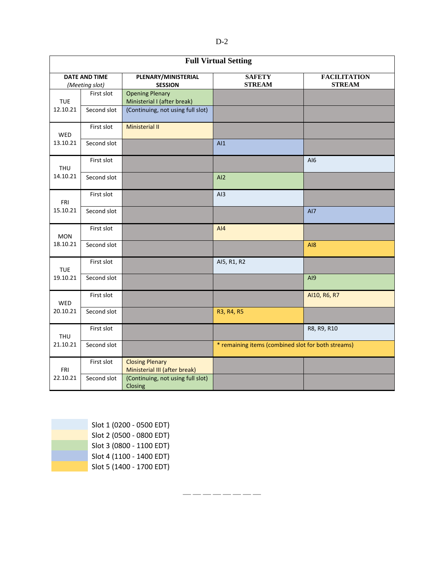| <b>Full Virtual Setting</b>            |             |                                                         |                                                    |                                      |  |  |  |
|----------------------------------------|-------------|---------------------------------------------------------|----------------------------------------------------|--------------------------------------|--|--|--|
| <b>DATE AND TIME</b><br>(Meeting slot) |             | PLENARY/MINISTERIAL<br><b>SESSION</b>                   | <b>SAFETY</b><br><b>STREAM</b>                     | <b>FACILITATION</b><br><b>STREAM</b> |  |  |  |
| <b>TUE</b><br>12.10.21                 | First slot  | <b>Opening Plenary</b><br>Ministerial I (after break)   |                                                    |                                      |  |  |  |
|                                        | Second slot | (Continuing, not using full slot)                       |                                                    |                                      |  |  |  |
| WED<br>13.10.21                        | First slot  | <b>Ministerial II</b>                                   |                                                    |                                      |  |  |  |
|                                        | Second slot |                                                         | AI                                                 |                                      |  |  |  |
| THU<br>14.10.21                        | First slot  |                                                         |                                                    | AI6                                  |  |  |  |
|                                        | Second slot |                                                         | AI2                                                |                                      |  |  |  |
| FRI<br>15.10.21                        | First slot  |                                                         | AI3                                                |                                      |  |  |  |
|                                        | Second slot |                                                         |                                                    | AI7                                  |  |  |  |
| <b>MON</b><br>18.10.21                 | First slot  |                                                         | AI4                                                |                                      |  |  |  |
|                                        | Second slot |                                                         |                                                    | A18                                  |  |  |  |
| <b>TUE</b><br>19.10.21                 | First slot  |                                                         | AI5, R1, R2                                        |                                      |  |  |  |
|                                        | Second slot |                                                         |                                                    | AI9                                  |  |  |  |
| WED<br>20.10.21                        | First slot  |                                                         |                                                    | AI10, R6, R7                         |  |  |  |
|                                        | Second slot |                                                         | R3, R4, R5                                         |                                      |  |  |  |
| <b>THU</b><br>21.10.21                 | First slot  |                                                         |                                                    | R8, R9, R10                          |  |  |  |
|                                        | Second slot |                                                         | * remaining items (combined slot for both streams) |                                      |  |  |  |
| <b>FRI</b><br>22.10.21                 | First slot  | <b>Closing Plenary</b><br>Ministerial III (after break) |                                                    |                                      |  |  |  |
|                                        | Second slot | (Continuing, not using full slot)<br>Closing            |                                                    |                                      |  |  |  |

— — — — — — — —

Slot 1 (0200 - 0500 EDT) Slot 2 (0500 - 0800 EDT) Slot 3 (0800 - 1100 EDT) Slot 4 (1100 - 1400 EDT) Slot 5 (1400 - 1700 EDT) D-2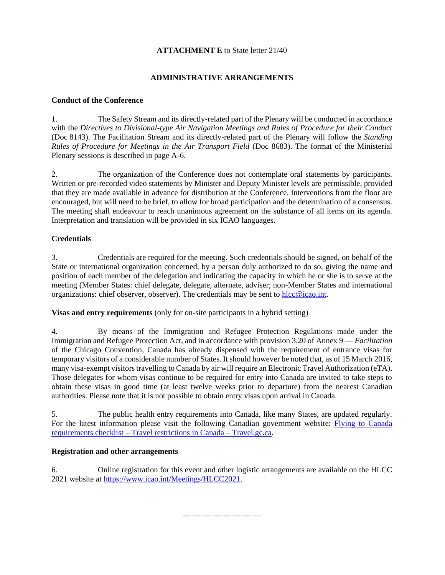# **ATTACHMENT E** to State letter 21/40

# **ADMINISTRATIVE ARRANGEMENTS**

# **Conduct of the Conference**

1. The Safety Stream and its directly-related part of the Plenary will be conducted in accordance with the *Directives to Divisional-type Air Navigation Meetings and Rules of Procedure for their Conduct* (Doc 8143). The Facilitation Stream and its directly-related part of the Plenary will follow the *Standing Rules of Procedure for Meetings in the Air Transport Field* (Doc 8683). The format of the Ministerial Plenary sessions is described in page A-6.

2. The organization of the Conference does not contemplate oral statements by participants. Written or pre-recorded video statements by Minister and Deputy Minister levels are permissible, provided that they are made available in advance for distribution at the Conference. Interventions from the floor are encouraged, but will need to be brief, to allow for broad participation and the determination of a consensus. The meeting shall endeavour to reach unanimous agreement on the substance of all items on its agenda. Interpretation and translation will be provided in six ICAO languages.

# **Credentials**

3. Credentials are required for the meeting. Such credentials should be signed, on behalf of the State or international organization concerned, by a person duly authorized to do so, giving the name and position of each member of the delegation and indicating the capacity in which he or she is to serve at the meeting (Member States: chief delegate, delegate, alternate, adviser; non-Member States and international organizations: chief observer, observer). The credentials may be sent to [hlcc@icao.int.](mailto:hlcc@icao.int)

**Visas and entry requirements** (only for on-site participants in a hybrid setting)

4. By means of the Immigration and Refugee Protection Regulations made under the Immigration and Refugee Protection Act, and in accordance with provision 3.20 of Annex 9 — *Facilitation* of the Chicago Convention, Canada has already dispensed with the requirement of entrance visas for temporary visitors of a considerable number of States. It should however be noted that, as of 15 March 2016, many visa-exempt visitors travelling to Canada by air will require an Electronic Travel Authorization (eTA). Those delegates for whom visas continue to be required for entry into Canada are invited to take steps to obtain these visas in good time (at least twelve weeks prior to departure) from the nearest Canadian authorities. Please note that it is not possible to obtain entry visas upon arrival in Canada.

5. The public health entry requirements into Canada, like many States, are updated regularly. For the latest information please visit the following Canadian government website: [Flying to Canada](https://travel.gc.ca/travel-covid/travel-restrictions/flying-canada-checklist)  requirements checklist – [Travel restrictions in Canada –](https://travel.gc.ca/travel-covid/travel-restrictions/flying-canada-checklist) Travel.gc.ca.

# **Registration and other arrangements**

6. Online registration for this event and other logistic arrangements are available on the HLCC 2021 website at [https://www.icao.int/Meetings/HLCC2021.](https://www.icao.int/Meetings/HLCC2021)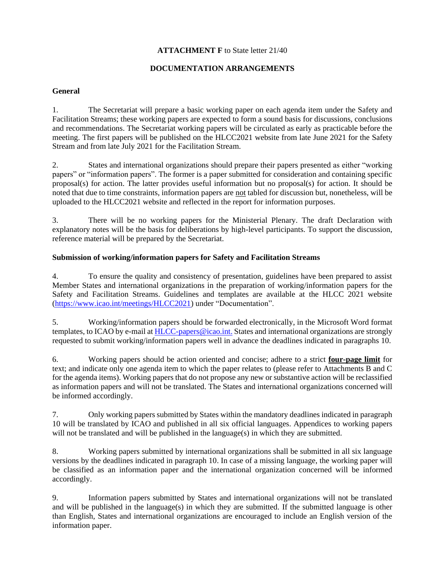# **ATTACHMENT F** to State letter 21/40

# **DOCUMENTATION ARRANGEMENTS**

# **General**

1. The Secretariat will prepare a basic working paper on each agenda item under the Safety and Facilitation Streams; these working papers are expected to form a sound basis for discussions, conclusions and recommendations. The Secretariat working papers will be circulated as early as practicable before the meeting. The first papers will be published on the HLCC2021 website from late June 2021 for the Safety Stream and from late July 2021 for the Facilitation Stream.

2. States and international organizations should prepare their papers presented as either "working papers" or "information papers". The former is a paper submitted for consideration and containing specific proposal(s) for action. The latter provides useful information but no proposal(s) for action. It should be noted that due to time constraints, information papers are not tabled for discussion but, nonetheless, will be uploaded to the HLCC2021 website and reflected in the report for information purposes.

3. There will be no working papers for the Ministerial Plenary. The draft Declaration with explanatory notes will be the basis for deliberations by high-level participants. To support the discussion, reference material will be prepared by the Secretariat.

# **Submission of working/information papers for Safety and Facilitation Streams**

4. To ensure the quality and consistency of presentation, guidelines have been prepared to assist Member States and international organizations in the preparation of working/information papers for the Safety and Facilitation Streams. Guidelines and templates are available at the HLCC 2021 website [\(https://www.icao.int/meetings/HLCC2021\)](https://www.icao.int/meetings/HLCC2021) under "Documentation".

5. Working/information papers should be forwarded electronically, in the Microsoft Word format templates, to ICAO by e-mail at [HLCC-papers@icao.int.](mailto:HLCC-papers@icao.int) States and international organizations are strongly requested to submit working/information papers well in advance the deadlines indicated in paragraphs 10.

6. Working papers should be action oriented and concise; adhere to a strict **four-page limit** for text; and indicate only one agenda item to which the paper relates to (please refer to Attachments B and C for the agenda items). Working papers that do not propose any new or substantive action will be reclassified as information papers and will not be translated. The States and international organizations concerned will be informed accordingly.

7. Only working papers submitted by States within the mandatory deadlines indicated in paragraph 10 will be translated by ICAO and published in all six official languages. Appendices to working papers will not be translated and will be published in the language(s) in which they are submitted.

8. Working papers submitted by international organizations shall be submitted in all six language versions by the deadlines indicated in paragraph 10. In case of a missing language, the working paper will be classified as an information paper and the international organization concerned will be informed accordingly.

9. Information papers submitted by States and international organizations will not be translated and will be published in the language(s) in which they are submitted. If the submitted language is other than English, States and international organizations are encouraged to include an English version of the information paper.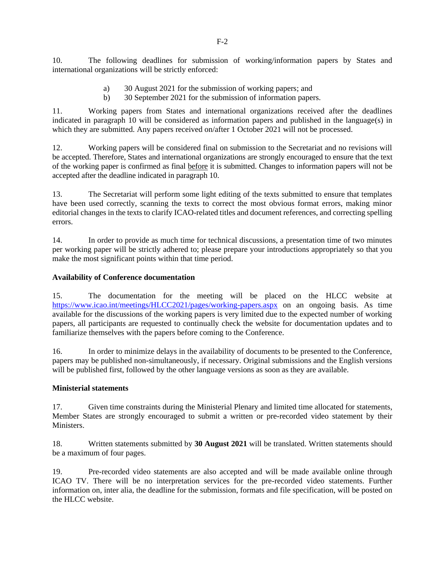10. The following deadlines for submission of working/information papers by States and international organizations will be strictly enforced:

- a) 30 August 2021 for the submission of working papers; and
- b) 30 September 2021 for the submission of information papers.

11. Working papers from States and international organizations received after the deadlines indicated in paragraph 10 will be considered as information papers and published in the language(s) in which they are submitted. Any papers received on/after 1 October 2021 will not be processed.

12. Working papers will be considered final on submission to the Secretariat and no revisions will be accepted. Therefore, States and international organizations are strongly encouraged to ensure that the text of the working paper is confirmed as final before it is submitted. Changes to information papers will not be accepted after the deadline indicated in paragraph 10.

13. The Secretariat will perform some light editing of the texts submitted to ensure that templates have been used correctly, scanning the texts to correct the most obvious format errors, making minor editorial changes in the texts to clarify ICAO-related titles and document references, and correcting spelling errors.

14. In order to provide as much time for technical discussions, a presentation time of two minutes per working paper will be strictly adhered to; please prepare your introductions appropriately so that you make the most significant points within that time period.

## **Availability of Conference documentation**

15. The documentation for the meeting will be placed on the HLCC website at <https://www.icao.int/meetings/HLCC2021/pages/working-papers.aspx> on an ongoing basis. As time available for the discussions of the working papers is very limited due to the expected number of working papers, all participants are requested to continually check the website for documentation updates and to familiarize themselves with the papers before coming to the Conference.

16. In order to minimize delays in the availability of documents to be presented to the Conference, papers may be published non-simultaneously, if necessary. Original submissions and the English versions will be published first, followed by the other language versions as soon as they are available.

## **Ministerial statements**

17. Given time constraints during the Ministerial Plenary and limited time allocated for statements, Member States are strongly encouraged to submit a written or pre-recorded video statement by their Ministers.

18. Written statements submitted by **30 August 2021** will be translated. Written statements should be a maximum of four pages.

19. Pre-recorded video statements are also accepted and will be made available online through ICAO TV. There will be no interpretation services for the pre-recorded video statements. Further information on, inter alia, the deadline for the submission, formats and file specification, will be posted on the HLCC website.